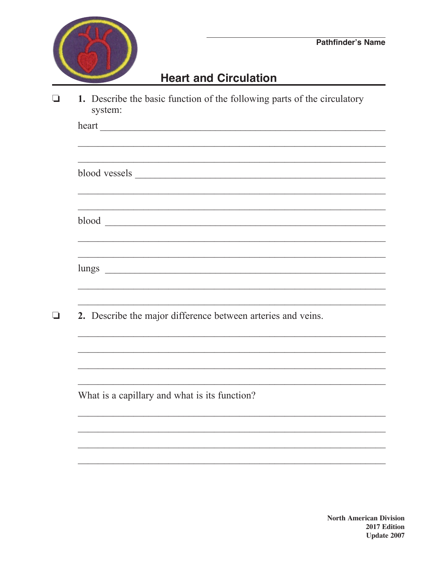

 $\Box$ 

## **Heart and Circulation**

1. Describe the basic function of the following parts of the circulatory  $\Box$ system:

| heart                                                        |
|--------------------------------------------------------------|
|                                                              |
|                                                              |
|                                                              |
|                                                              |
|                                                              |
|                                                              |
|                                                              |
|                                                              |
|                                                              |
|                                                              |
|                                                              |
| 2. Describe the major difference between arteries and veins. |
|                                                              |
|                                                              |
|                                                              |
|                                                              |
| What is a capillary and what is its function?                |
|                                                              |
|                                                              |
|                                                              |
|                                                              |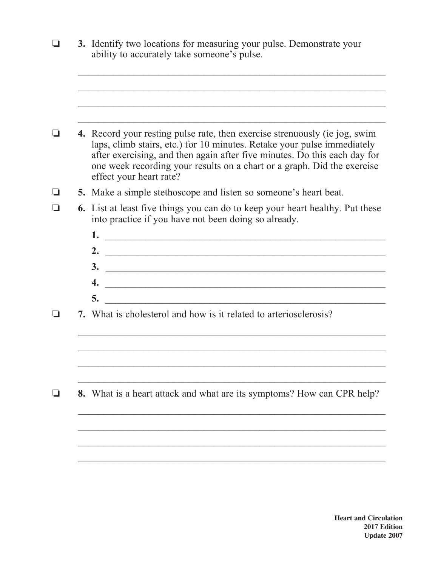|  | 3. Identify two locations for measuring your pulse. Demonstrate your<br>ability to accurately take someone's pulse.                                                                                                                                                                                                                      |
|--|------------------------------------------------------------------------------------------------------------------------------------------------------------------------------------------------------------------------------------------------------------------------------------------------------------------------------------------|
|  |                                                                                                                                                                                                                                                                                                                                          |
|  | 4. Record your resting pulse rate, then exercise strenuously (ie jog, swim<br>laps, climb stairs, etc.) for 10 minutes. Retake your pulse immediately<br>after exercising, and then again after five minutes. Do this each day for<br>one week recording your results on a chart or a graph. Did the exercise<br>effect your heart rate? |
|  | <b>5.</b> Make a simple stethoscope and listen so someone's heart beat.                                                                                                                                                                                                                                                                  |
|  | <b>6.</b> List at least five things you can do to keep your heart healthy. Put these<br>into practice if you have not been doing so already.                                                                                                                                                                                             |
|  |                                                                                                                                                                                                                                                                                                                                          |
|  | 2.<br><u> Alexandria de la contrada de la contrada de la contrada de la contrada de la contrada de la contrada de la c</u>                                                                                                                                                                                                               |
|  | $\frac{3}{2}$                                                                                                                                                                                                                                                                                                                            |
|  |                                                                                                                                                                                                                                                                                                                                          |
|  | 5.                                                                                                                                                                                                                                                                                                                                       |
|  | 7. What is cholesterol and how is it related to arteriosclerosis?                                                                                                                                                                                                                                                                        |
|  |                                                                                                                                                                                                                                                                                                                                          |
|  |                                                                                                                                                                                                                                                                                                                                          |
|  | <b>8.</b> What is a heart attack and what are its symptoms? How can CPR help?                                                                                                                                                                                                                                                            |
|  |                                                                                                                                                                                                                                                                                                                                          |
|  |                                                                                                                                                                                                                                                                                                                                          |

 $\frac{1}{2}$  ,  $\frac{1}{2}$  ,  $\frac{1}{2}$  ,  $\frac{1}{2}$  ,  $\frac{1}{2}$  ,  $\frac{1}{2}$  ,  $\frac{1}{2}$  ,  $\frac{1}{2}$  ,  $\frac{1}{2}$  ,  $\frac{1}{2}$  ,  $\frac{1}{2}$  ,  $\frac{1}{2}$  ,  $\frac{1}{2}$  ,  $\frac{1}{2}$  ,  $\frac{1}{2}$  ,  $\frac{1}{2}$  ,  $\frac{1}{2}$  ,  $\frac{1}{2}$  ,  $\frac{1$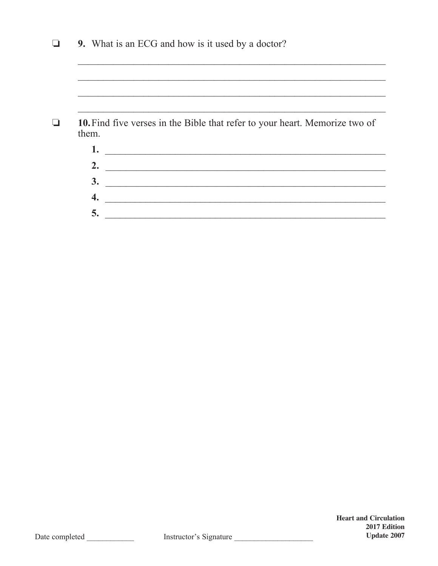|                    | 9. What is an ECG and how is it used by a doctor?                                                                    |
|--------------------|----------------------------------------------------------------------------------------------------------------------|
|                    |                                                                                                                      |
|                    |                                                                                                                      |
|                    |                                                                                                                      |
|                    |                                                                                                                      |
|                    | 10. Find five verses in the Bible that refer to your heart. Memorize two of                                          |
| them.<br>1.        |                                                                                                                      |
| 2.                 | <u> 1989 - Johann Stein, mars an deutscher Stein und der Stein und der Stein und der Stein und der Stein und der</u> |
| 3.                 |                                                                                                                      |
| $\boldsymbol{4}$ . |                                                                                                                      |